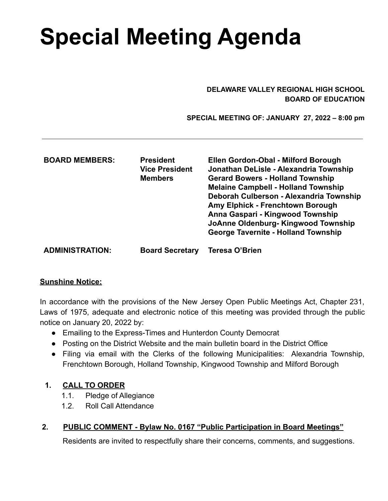# **Special Meeting Agenda**

#### **DELAWARE VALLEY REGIONAL HIGH SCHOOL BOARD OF EDUCATION**

 **SPECIAL MEETING OF: JANUARY 27, 2022 – 8:00 pm**

| <b>BOARD MEMBERS:</b>  | <b>President</b><br><b>Vice President</b><br><b>Members</b> | Ellen Gordon-Obal - Milford Borough<br>Jonathan DeLisle - Alexandria Township<br><b>Gerard Bowers - Holland Township</b><br><b>Melaine Campbell - Holland Township</b><br>Deborah Culberson - Alexandria Township<br>Amy Elphick - Frenchtown Borough<br>Anna Gaspari - Kingwood Township<br>JoAnne Oldenburg-Kingwood Township<br><b>George Tavernite - Holland Township</b> |
|------------------------|-------------------------------------------------------------|-------------------------------------------------------------------------------------------------------------------------------------------------------------------------------------------------------------------------------------------------------------------------------------------------------------------------------------------------------------------------------|
| <b>ADMINISTRATION:</b> | <b>Board Secretary</b>                                      | Teresa O'Brien                                                                                                                                                                                                                                                                                                                                                                |

#### **Sunshine Notice:**

In accordance with the provisions of the New Jersey Open Public Meetings Act, Chapter 231, Laws of 1975, adequate and electronic notice of this meeting was provided through the public notice on January 20, 2022 by:

- Emailing to the Express-Times and Hunterdon County Democrat
- Posting on the District Website and the main bulletin board in the District Office
- Filing via email with the Clerks of the following Municipalities: Alexandria Township, Frenchtown Borough, Holland Township, Kingwood Township and Milford Borough

### **1. CALL TO ORDER**

- 1.1. Pledge of Allegiance
- 1.2. Roll Call Attendance

### **2. PUBLIC COMMENT - Bylaw No. 0167 "Public Participation in Board Meetings"**

Residents are invited to respectfully share their concerns, comments, and suggestions.